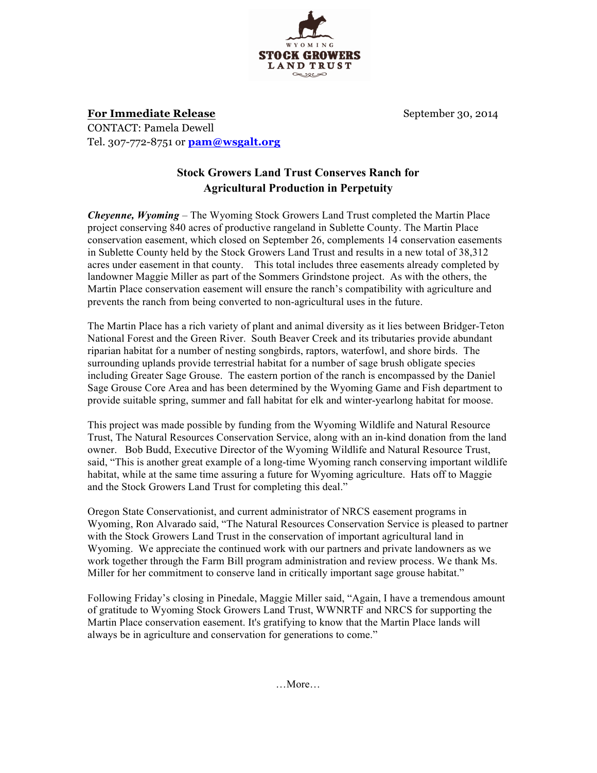

**For Immediate Release** September 30, 2014 CONTACT: Pamela Dewell Tel. 307-772-8751 or **pam@wsgalt.org**

## **Stock Growers Land Trust Conserves Ranch for Agricultural Production in Perpetuity**

*Cheyenne, Wyoming* – The Wyoming Stock Growers Land Trust completed the Martin Place project conserving 840 acres of productive rangeland in Sublette County. The Martin Place conservation easement, which closed on September 26, complements 14 conservation easements in Sublette County held by the Stock Growers Land Trust and results in a new total of 38,312 acres under easement in that county. This total includes three easements already completed by landowner Maggie Miller as part of the Sommers Grindstone project. As with the others, the Martin Place conservation easement will ensure the ranch's compatibility with agriculture and prevents the ranch from being converted to non-agricultural uses in the future.

The Martin Place has a rich variety of plant and animal diversity as it lies between Bridger-Teton National Forest and the Green River. South Beaver Creek and its tributaries provide abundant riparian habitat for a number of nesting songbirds, raptors, waterfowl, and shore birds. The surrounding uplands provide terrestrial habitat for a number of sage brush obligate species including Greater Sage Grouse. The eastern portion of the ranch is encompassed by the Daniel Sage Grouse Core Area and has been determined by the Wyoming Game and Fish department to provide suitable spring, summer and fall habitat for elk and winter-yearlong habitat for moose.

This project was made possible by funding from the Wyoming Wildlife and Natural Resource Trust, The Natural Resources Conservation Service, along with an in-kind donation from the land owner. Bob Budd, Executive Director of the Wyoming Wildlife and Natural Resource Trust, said, "This is another great example of a long-time Wyoming ranch conserving important wildlife habitat, while at the same time assuring a future for Wyoming agriculture. Hats off to Maggie and the Stock Growers Land Trust for completing this deal."

Oregon State Conservationist, and current administrator of NRCS easement programs in Wyoming, Ron Alvarado said, "The Natural Resources Conservation Service is pleased to partner with the Stock Growers Land Trust in the conservation of important agricultural land in Wyoming. We appreciate the continued work with our partners and private landowners as we work together through the Farm Bill program administration and review process. We thank Ms. Miller for her commitment to conserve land in critically important sage grouse habitat."

Following Friday's closing in Pinedale, Maggie Miller said, "Again, I have a tremendous amount of gratitude to Wyoming Stock Growers Land Trust, WWNRTF and NRCS for supporting the Martin Place conservation easement. It's gratifying to know that the Martin Place lands will always be in agriculture and conservation for generations to come."

…More…